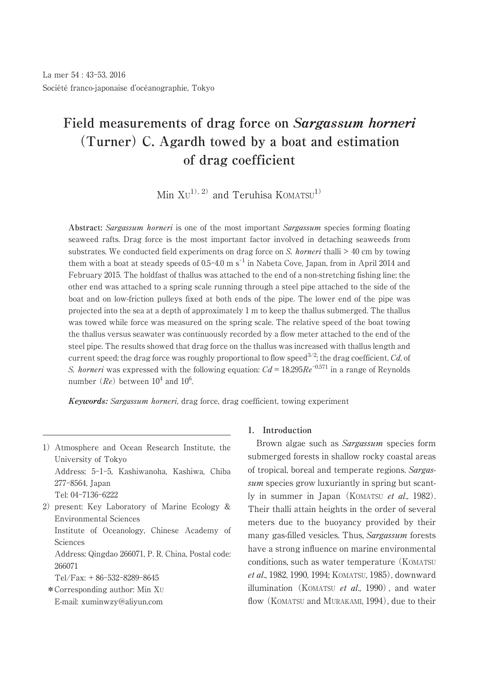# **Field measurements of drag force on Sargassum horneri (Turner) C. Agardh towed by a boat and estimation of drag coefficient**

 $\text{Min } \text{XU}^{1), 2)}$  and Teruhisa  $\text{KOMATSU}^{1)}$ 

**Abstract:** Sargassum horneri is one of the most important Sargassum species forming floating seaweed rafts. Drag force is the most important factor involved in detaching seaweeds from substrates. We conducted field experiments on drag force on S. *horneri* thalli  $>$  40 cm by towing them with a boat at steady speeds of 0.5–4.0 m  $\mathrm{s}^{-1}$  in Nabeta Cove, Japan, from in April 2014 and February 2015. The holdfast of thallus was attached to the end of a non-stretching fishing line; the other end was attached to a spring scale running through a steel pipe attached to the side of the boat and on low-friction pulleys fixed at both ends of the pipe. The lower end of the pipe was projected into the sea at a depth of approximately 1 m to keep the thallus submerged. The thallus was towed while force was measured on the spring scale. The relative speed of the boat towing the thallus versus seawater was continuously recorded by a flow meter attached to the end of the steel pipe. The results showed that drag force on the thallus was increased with thallus length and current speed; the drag force was roughly proportional to flow speed $^{3/2}$ ; the drag coefficient,  $C\bar{d}$ , of S. horneri was expressed with the following equation:  $Cd = 18.295Re^{-0.571}$  in a range of Reynolds number  $(Re)$  between  $10^4$  and  $10^6$ .

**Keywords:** Sargassum horneri, drag force, drag coefficient, towing experiment

- 1)Atmosphere and Ocean Research Institute, the University of Tokyo Address: 5-1-5, Kashiwanoha, Kashiwa, Chiba 277-8564, Japan Tel: 04-7136-6222
- 2) present: Key Laboratory of Marine Ecology  $\&$ Environmental Sciences Institute of Oceanology, Chinese Academy of Sciences

Address: Qingdao 266071, P. R. China, Postal code: 266071

- Tel/Fax: + 86-532-8289-8645
- \*Corresponding author: Min XU E-mail: xuminwzy@aliyun.com

### **1. Introduction**

Brown algae such as *Sargassum* species form submerged forests in shallow rocky coastal areas of tropical, boreal and temperate regions. Sargassum species grow luxuriantly in spring but scantly in summer in Japan (KOMATSU *et al.*, 1982). Their thalli attain heights in the order of several meters due to the buoyancy provided by their many gas-filled vesicles. Thus, Sargassum forests have a strong influence on marine environmental conditions, such as water temperature (KOMATSU et al., 1982, 1990, 1994; KOMATSU, 1985), downward illumination (KOMATSU *et al.*, 1990), and water flow (KOMATSU and MURAKAMI, 1994), due to their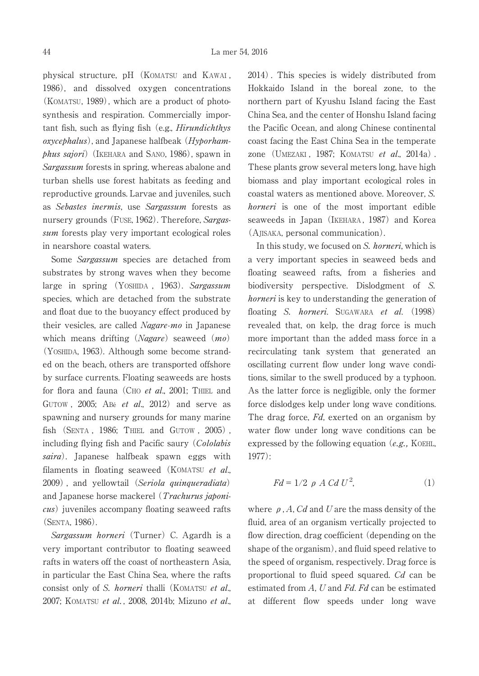physical structure, pH (KOMATSU and KAWAI , 1986), and dissolved oxygen concentrations (KOMATSU, 1989), which are a product of photosynthesis and respiration. Commercially important fish, such as flying fish (e.g., *Hirundichthys*  $ox \vee c \neq b$  alust and Japanese halfbeak (*Hyporham*phus sajori) (IKEHARA and SANO, 1986), spawn in Sargassum forests in spring, whereas abalone and turban shells use forest habitats as feeding and reproductive grounds. Larvae and juveniles, such as Sebastes inermis, use Sargassum forests as nursery grounds (FUSE, 1962). Therefore, Sargassum forests play very important ecological roles in nearshore coastal waters.

Some Sargassum species are detached from substrates by strong waves when they become large in spring (YOSHIDA, 1963). Sargassum species, which are detached from the substrate and float due to the buoyancy effect produced by their vesicles, are called Nagare-mo in Japanese which means drifting  $(Nagare)$  seaweed  $(mo)$ (YOSHIDA, 1963). Although some become stranded on the beach, others are transported offshore by surface currents. Floating seaweeds are hosts for flora and fauna (CHO et al., 2001; THIEL and GUTOW,  $2005$ ; ABé et al.,  $2012$ ) and serve as spawning and nursery grounds for many marine fish (SENTA , 1986; THIEL and GUTOW , 2005) , including flying fish and Pacific saury (Cololabis saira). Japanese halfbeak spawn eggs with filaments in floating seaweed (KOMATSU et al., 2009) , and yellowtail (Seriola quinqueradiata) and Japanese horse mackerel (Trachurus japonicus) juveniles accompany floating seaweed rafts (SENTA, 1986).

Sargassum horneri (Turner) C. Agardh is a very important contributor to floating seaweed rafts in waters off the coast of northeastern Asia, in particular the East China Sea, where the rafts consist only of S. *horneri* thalli (KOMATSU et al., 2007; KOMATSU et al., 2008, 2014b; Mizuno et al., 2014) . This species is widely distributed from Hokkaido Island in the boreal zone, to the northern part of Kyushu Island facing the East China Sea, and the center of Honshu Island facing the Pacific Ocean, and along Chinese continental coast facing the East China Sea in the temperate zone (UMEZAKI, 1987; KOMATSU et al., 2014a). These plants grow several meters long, have high biomass and play important ecological roles in coastal waters as mentioned above. Moreover, S. horneri is one of the most important edible seaweeds in Japan (IKEHARA, 1987) and Korea (AJISAKA, personal communication).

In this study, we focused on S. horneri, which is a very important species in seaweed beds and floating seaweed rafts, from a fisheries and biodiversity perspective. Dislodgment of S. horneri is key to understanding the generation of floating S. horneri. SUGAWARA et al. (1998) revealed that, on kelp, the drag force is much more important than the added mass force in a recirculating tank system that generated an oscillating current flow under long wave conditions, similar to the swell produced by a typhoon. As the latter force is negligible, only the former force dislodges kelp under long wave conditions. The drag force, Fd, exerted on an organism by water flow under long wave conditions can be expressed by the following equation  $(e.g., K0E)$ . 1977):

$$
Fd = 1/2 \, \rho \, A \, Cd \, U^2,\tag{1}
$$

where  $\rho$ , A, Cd and U are the mass density of the fluid, area of an organism vertically projected to flow direction, drag coefficient (depending on the shape of the organism), and fluid speed relative to the speed of organism, respectively. Drag force is proportional to fluid speed squared. Cd can be estimated from A, U and Fd. Fd can be estimated at different flow speeds under long wave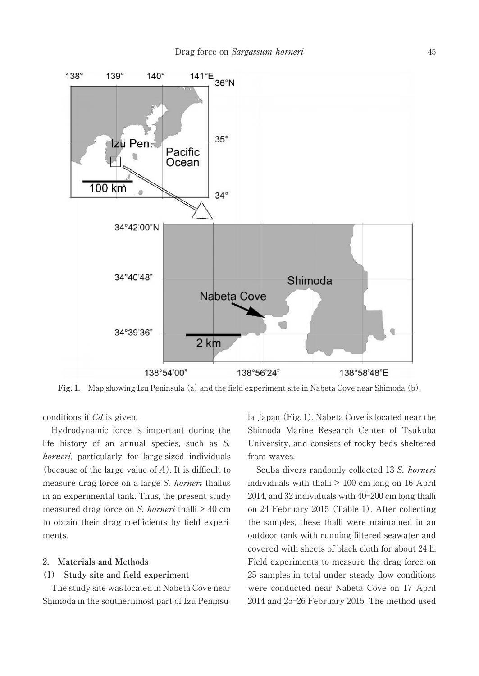

**Fig. 1.** Map showing Izu Peninsula (a) and the field experiment site in Nabeta Cove near Shimoda (b).

conditions if Cd is given.

Hydrodynamic force is important during the life history of an annual species, such as S. horneri, particularly for large-sized individuals (because of the large value of  $A$ ). It is difficult to measure drag force on a large S. horneri thallus in an experimental tank. Thus, the present study measured drag force on S. *horneri* thalli > 40 cm to obtain their drag coefficients by field experiments.

### **2. Materials and Methods**

### **(1) Study site and field experiment**

The study site was located in Nabeta Cove near Shimoda in the southernmost part of Izu Peninsula, Japan (Fig. 1). Nabeta Cove is located near the Shimoda Marine Research Center of Tsukuba University, and consists of rocky beds sheltered from waves.

Scuba divers randomly collected 13 S. horneri individuals with thalli  $> 100$  cm long on 16 April 2014, and 32 individuals with 40-200 cm long thalli on 24 February 2015 (Table 1). After collecting the samples, these thalli were maintained in an outdoor tank with running filtered seawater and covered with sheets of black cloth for about 24 h. Field experiments to measure the drag force on 25 samples in total under steady flow conditions were conducted near Nabeta Cove on 17 April 2014 and 25-26 February 2015. The method used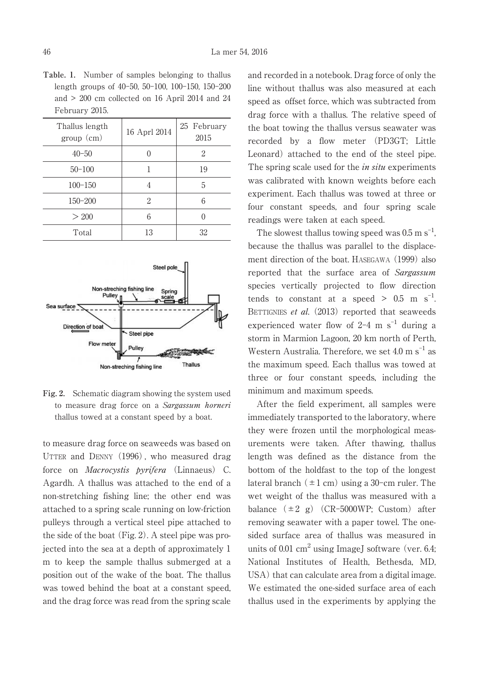**Table. 1.** Number of samples belonging to thallus length groups of 40-50, 50-100, 100-150, 150-200 and > 200 cm collected on 16 April 2014 and 24 February 2015.

| Thallus length<br>group (cm) | 16 Aprl 2014 | 25 February<br>2015 |
|------------------------------|--------------|---------------------|
| $40 - 50$                    |              | 2                   |
| $50 - 100$                   |              | 19                  |
| $100 - 150$                  | 4            | 5                   |
| $150 - 200$                  | 2            | 6                   |
| > 200                        | 6            |                     |
| Total                        | 13           | 32                  |



**Fig. 2.** Schematic diagram showing the system used to measure drag force on a Sargassum horneri thallus towed at a constant speed by a boat.

to measure drag force on seaweeds was based on UTTER and DENNY (1996) , who measured drag force on *Macrocystis pyrifera* (Linnaeus) C. Agardh. A thallus was attached to the end of a non-stretching fishing line; the other end was attached to a spring scale running on low-friction pulleys through a vertical steel pipe attached to the side of the boat (Fig. 2). A steel pipe was projected into the sea at a depth of approximately 1 m to keep the sample thallus submerged at a position out of the wake of the boat. The thallus was towed behind the boat at a constant speed, and the drag force was read from the spring scale and recorded in a notebook. Drag force of only the line without thallus was also measured at each speed as offset force, which was subtracted from drag force with a thallus. The relative speed of the boat towing the thallus versus seawater was recorded by a flow meter (PD3GT; Little Leonard) attached to the end of the steel pipe. The spring scale used for the *in situ* experiments was calibrated with known weights before each experiment. Each thallus was towed at three or four constant speeds, and four spring scale readings were taken at each speed.

The slowest thallus towing speed was  $0.5 \text{ m s}^{-1}$ , because the thallus was parallel to the displacement direction of the boat. HASEGAWA (1999) also reported that the surface area of Sargassum species vertically projected to flow direction tends to constant at a speed  $>$  0.5 m s<sup>-1</sup> . BETTIGNIES et al. (2013) reported that seaweeds experienced water flow of  $2-4$  m  $s^{-1}$  during a storm in Marmion Lagoon, 20 km north of Perth, Western Australia. Therefore, we set  $4.0 \text{ m s}^{-1}$  as the maximum speed. Each thallus was towed at three or four constant speeds, including the minimum and maximum speeds.

After the field experiment, all samples were immediately transported to the laboratory, where they were frozen until the morphological measurements were taken. After thawing, thallus length was defined as the distance from the bottom of the holdfast to the top of the longest lateral branch  $(\pm 1 \text{ cm})$  using a 30-cm ruler. The wet weight of the thallus was measured with a balance  $(\pm 2 \text{ g})$  (CR-5000WP; Custom) after removing seawater with a paper towel. The onesided surface area of thallus was measured in units of 0.01  $\text{cm}^2$  using ImageJ software (ver. 6.4; National Institutes of Health, Bethesda, MD, USA) that can calculate area from a digital image. We estimated the one-sided surface area of each thallus used in the experiments by applying the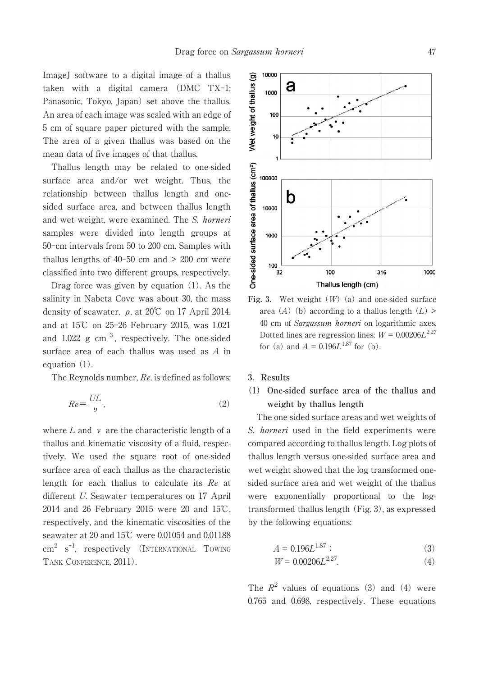ImageJ software to a digital image of a thallus taken with a digital camera (DMC TX-1; Panasonic, Tokyo, Japan) set above the thallus. An area of each image was scaled with an edge of 5 cm of square paper pictured with the sample. The area of a given thallus was based on the mean data of five images of that thallus.

Thallus length may be related to one-sided surface area and/or wet weight. Thus, the relationship between thallus length and onesided surface area, and between thallus length and wet weight, were examined. The S. horneri samples were divided into length groups at 50-cm intervals from 50 to 200 cm. Samples with thallus lengths of  $40-50$  cm and  $> 200$  cm were classified into two different groups, respectively.

Drag force was given by equation (1). As the salinity in Nabeta Cove was about 30, the mass density of seawater,  $\rho$ , at 20°C on 17 April 2014, and at 15℃ on 25-26 February 2015, was 1.021 and  $1.022 \text{ g cm}^{-3}$ , respectively. The one-sided surface area of each thallus was used as A in equation (1).

The Reynolds number, Re, is defined as follows:

$$
Re = \frac{UL}{v},\tag{2}
$$

where  $L$  and  $\nu$  are the characteristic length of a thallus and kinematic viscosity of a fluid, respectively. We used the square root of one-sided surface area of each thallus as the characteristic length for each thallus to calculate its Re at different U. Seawater temperatures on 17 April 2014 and 26 February 2015 were 20 and 15℃, respectively, and the kinematic viscosities of the seawater at 20 and 15℃ were 0.01054 and 0.01188 cm<sup>2</sup> s<sup>-1</sup>, respectively (INTERNATIONAL TOWING TANK CONFERENCE, 2011).



**Fig. 3.** Wet weight (W) (a) and one-sided surface area (A) (b) according to a thallus length  $(L)$ 40 cm of Sargassum horneri on logarithmic axes. Dotted lines are regression lines:  $W = 0.00206L^{2.27}$ for (a) and  $A = 0.196L^{1.87}$  for (b).

### **3**.**Results**

## **(1) One-sided surface area of the thallus and weight by thallus length**

The one-sided surface areas and wet weights of S. horneri used in the field experiments were compared according to thallus length. Log plots of thallus length versus one-sided surface area and wet weight showed that the log transformed onesided surface area and wet weight of the thallus were exponentially proportional to the logtransformed thallus length (Fig. 3), as expressed by the following equations:

$$
A = 0.196L^{1.87} \tag{3}
$$

$$
W = 0.00206L^{2.27}.\t\t(4)
$$

The  $R^2$  values of equations (3) and (4) were 0.765 and 0.698, respectively. These equations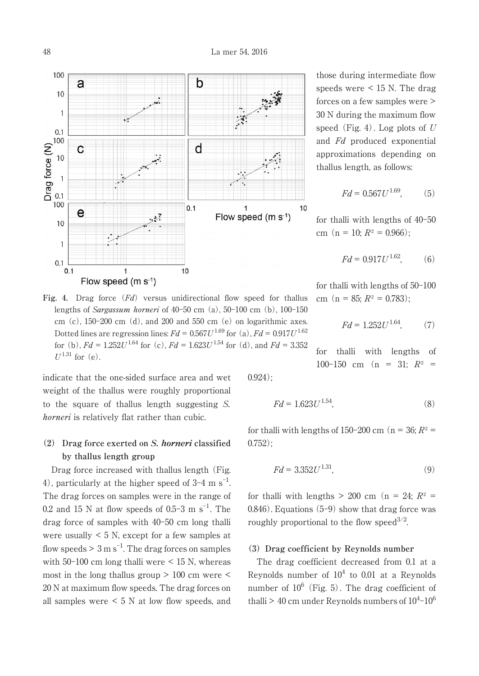

**Fig. 4.** Drag force (Fd) versus unidirectional flow speed for thallus lengths of *Sargassum horneri* of  $40-50$  cm  $(a)$ ,  $50-100$  cm  $(b)$ ,  $100-150$ cm  $(c)$ , 150-200 cm  $(d)$ , and 200 and 550 cm  $(e)$  on logarithmic axes. Dotted lines are regression lines:  $Fd = 0.567U^{1.69}$  for (a),  $Fd = 0.917U^{1.62}$ for (b),  $Fd = 1.252U^{1.64}$  for (c),  $Fd = 1.623U^{1.54}$  for (d), and  $Fd = 3.352$  $U^{1.31}$  for (e).

indicate that the one-sided surface area and wet weight of the thallus were roughly proportional to the square of thallus length suggesting S. horneri is relatively flat rather than cubic.

## **(2) Drag force exerted on S. horneri classified by thallus length group**

Drag force increased with thallus length (Fig. 4), particularly at the higher speed of  $3-4$  m s<sup>-1</sup> . The drag forces on samples were in the range of 0.2 and 15 N at flow speeds of 0.5-3 m  $s^{-1}$ . The drag force of samples with 40-50 cm long thalli were usually  $\leq 5$  N, except for a few samples at flow speeds  $> 3 \text{ m s}^{-1}$ . The drag forces on samples with 50-100 cm long thalli were < 15 N, whereas most in the long thallus group  $> 100$  cm were  $<$ 20 N at maximum flow speeds. The drag forces on all samples were < 5 N at low flow speeds, and those during intermediate flow speeds were < 15 N. The drag forces on a few samples were > 30 N during the maximum flow speed (Fig. 4). Log plots of  $U$ and Fd produced exponential approximations depending on thallus length, as follows:

$$
Fd = 0.567U^{1.69},\tag{5}
$$

for thalli with lengths of 40-50 cm (n = 10;  $R^2 = 0.966$ );

$$
Fd = 0.917U^{1.62},\tag{6}
$$

for thalli with lengths of 50-100 cm (n = 85;  $R^2 = 0.783$ );

$$
Fd = 1.252U^{1.64},\tag{7}
$$

for thalli with lengths of 100-150 cm (n = 31;  $R^2$  =

0.924);

$$
Fd = 1.623U^{1.54},\tag{8}
$$

for thalli with lengths of 150-200 cm ( $n = 36$ ;  $R^2 =$  $0.752$ ;

$$
Fd = 3.352U^{1.31},\tag{9}
$$

for thalli with lengths  $> 200$  cm (n = 24;  $R^2$  = 0.846). Equations (5-9) show that drag force was roughly proportional to the flow speed  $3/2$ .

#### **(3) Drag coefficient by Reynolds number**

The drag coefficient decreased from 0.1 at a Reynolds number of  $10^4$  to 0.01 at a Reynolds number of  $10^6$  (Fig. 5). The drag coefficient of thalli > 40 cm under Reynolds numbers of  $10^4$ - $10^6$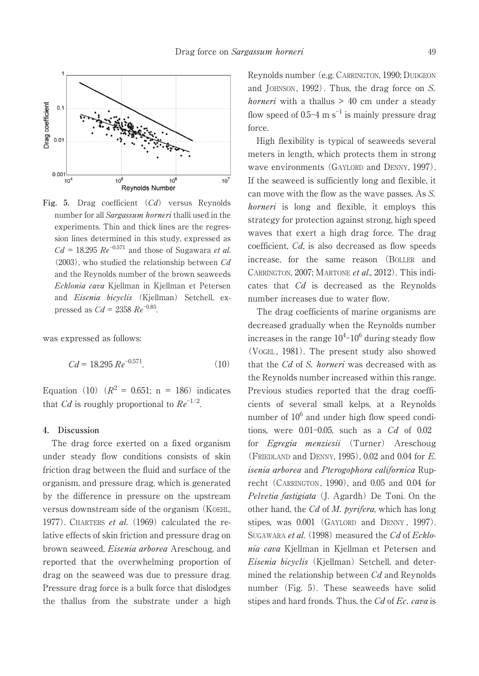

**Fig. 5.** Drag coefficient (Cd) versus Reynolds number for all Sargassum horneri thalli used in the experiments. Thin and thick lines are the regression lines determined in this study, expressed as  $Cd = 18.295$   $Re^{-0.571}$  and those of Sugawara *et al.*  $(2003)$ , who studied the relationship between  $Cd$ and the Reynolds number of the brown seaweeds Ecklonia cava Kjellman in Kjellman et Petersen and Eisenia bicyclis (Kjellman) Setchell, expressed as  $Cd = 2358 \, Re^{-0.85}$ .

was expressed as follows:

$$
Cd = 18.295 \, Re^{-0.571}.\tag{10}
$$

Equation (10)  $(R^2 = 0.651; n = 186)$  indicates that Cd is roughly proportional to  $Re^{-1/2}$ .

### **4. Discussion**

The drag force exerted on a fixed organism under steady flow conditions consists of skin friction drag between the fluid and surface of the organism, and pressure drag, which is generated by the difference in pressure on the upstream versus downstream side of the organism (KOEHL, 1977). CHARTERS et al.  $(1969)$  calculated the relative effects of skin friction and pressure drag on brown seaweed, Eisenia arborea Areschoug, and reported that the overwhelming proportion of drag on the seaweed was due to pressure drag. Pressure drag force is a bulk force that dislodges the thallus from the substrate under a high Reynolds number (e.g. CARRINGTON, 1990; DUDGEON and JOHNSON, 1992). Thus, the drag force on S. *horneri* with a thallus  $> 40$  cm under a steady flow speed of  $0.5$ –4 m s<sup>–1</sup> is mainly pressure drag force.

High flexibility is typical of seaweeds several meters in length, which protects them in strong wave environments (GAYLORD and DENNY, 1997). If the seaweed is sufficiently long and flexible, it can move with the flow as the wave passes. As S. horneri is long and flexible, it employs this strategy for protection against strong, high speed waves that exert a high drag force. The drag coefficient, Cd, is also decreased as flow speeds increase, for the same reason (BOLLER and CARRINGTON, 2007; MARTONE et al., 2012). This indicates that Cd is decreased as the Reynolds number increases due to water flow.

The drag coefficients of marine organisms are decreased gradually when the Reynolds number increases in the range  $10^4$ – $10^6$  during steady flow (VOGEL , 1981). The present study also showed that the Cd of S. horneri was decreased with as the Reynolds number increased within this range. Previous studies reported that the drag coefficients of several small kelps, at a Reynolds number of  $10^6$  and under high flow speed conditions, were  $0.01-0.05$ , such as a  $Cd$  of  $0.02$ for Egregia menziesii (Turner) Areschoug (FRIEDLAND and DENNY, 1995), 0.02 and 0.04 for E. isenia arborea and Pterogophora californica Ruprecht (CARRINGTON, 1990), and 0.05 and 0.04 for Pelvetia fastigiata (J. Agardh) De Toni. On the other hand, the  $Cd$  of M. pyrifera, which has long stipes, was 0.001 (GAYLORD and DENNY , 1997). SUGAWARA et al. (1998) measured the Cd of Ecklonia cava Kjellman in Kjellman et Petersen and Eisenia bicyclis (Kjellman) Setchell, and determined the relationship between Cd and Reynolds number (Fig. 5). These seaweeds have solid stipes and hard fronds. Thus, the Cd of Ec. cava is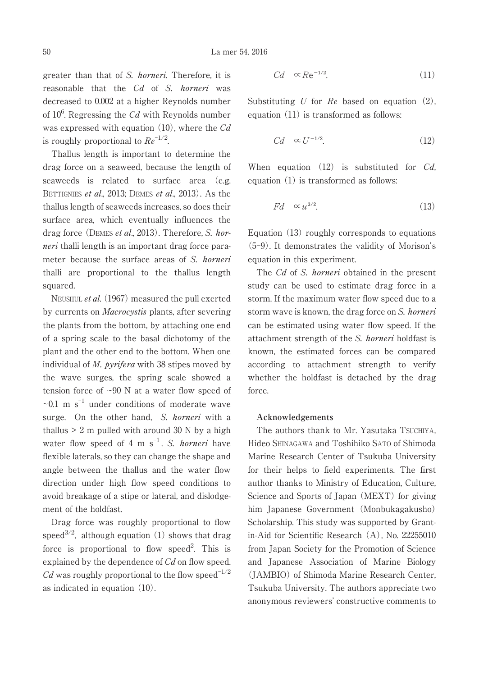greater than that of S. horneri. Therefore, it is reasonable that the Cd of S. horneri was decreased to 0.002 at a higher Reynolds number of  $10^6$ . Regressing the Cd with Reynolds number was expressed with equation  $(10)$ , where the Cd is roughly proportional to  $Re^{-1/2}$ .

Thallus length is important to determine the drag force on a seaweed, because the length of seaweeds is related to surface area (e.g. BETTIGNIES et al., 2013; DEMES et al., 2013). As the thallus length of seaweeds increases, so does their surface area, which eventually influences the drag force (DEMES et al., 2013). Therefore, S. horneri thalli length is an important drag force parameter because the surface areas of S. horneri thalli are proportional to the thallus length squared.

NEUSHUL et al. (1967) measured the pull exerted by currents on *Macrocystis* plants, after severing the plants from the bottom, by attaching one end of a spring scale to the basal dichotomy of the plant and the other end to the bottom. When one individual of *M. pyrifera* with 38 stipes moved by the wave surges, the spring scale showed a tension force of  $\sim 90$  N at a water flow speed of  $\sim$ 0.1 m s<sup>-1</sup> under conditions of moderate wave surge. On the other hand, S. horneri with a thallus  $> 2$  m pulled with around 30 N by a high water flow speed of 4 m  $s^{-1}$ . S. *horneri* have flexible laterals, so they can change the shape and angle between the thallus and the water flow direction under high flow speed conditions to avoid breakage of a stipe or lateral, and dislodgement of the holdfast.

Drag force was roughly proportional to flow speed<sup>3/2</sup>, although equation (1) shows that drag force is proportional to flow speed<sup>2</sup>. This is explained by the dependence of  $Cd$  on flow speed. Cd was roughly proportional to the flow speed<sup>-1/2</sup> as indicated in equation (10).

$$
Cd \quad \propto Re^{-1/2}.\tag{11}
$$

Substituting U for  $Re$  based on equation  $(2)$ , equation (11) is transformed as follows:

$$
Cd \quad \propto U^{-1/2}.\tag{12}
$$

When equation  $(12)$  is substituted for *Cd*, equation (1) is transformed as follows:

$$
Fd \quad \propto u^{3/2}.\tag{13}
$$

Equation (13) roughly corresponds to equations (5-9). It demonstrates the validity of Morison's equation in this experiment.

The Cd of S. horneri obtained in the present study can be used to estimate drag force in a storm. If the maximum water flow speed due to a storm wave is known, the drag force on S. horneri can be estimated using water flow speed. If the attachment strength of the S. horneri holdfast is known, the estimated forces can be compared according to attachment strength to verify whether the holdfast is detached by the drag force.

### **Acknowledgements**

The authors thank to Mr. Yasutaka TSUCHIYA, Hideo SHINAGAWA and Toshihiko SATO of Shimoda Marine Research Center of Tsukuba University for their helps to field experiments. The first author thanks to Ministry of Education, Culture, Science and Sports of Japan (MEXT) for giving him Japanese Government (Monbukagakusho) Scholarship. This study was supported by Grantin-Aid for Scientific Research (A), No. 22255010 from Japan Society for the Promotion of Science and Japanese Association of Marine Biology (JAMBIO) of Shimoda Marine Research Center, Tsukuba University. The authors appreciate two anonymous reviewers' constructive comments to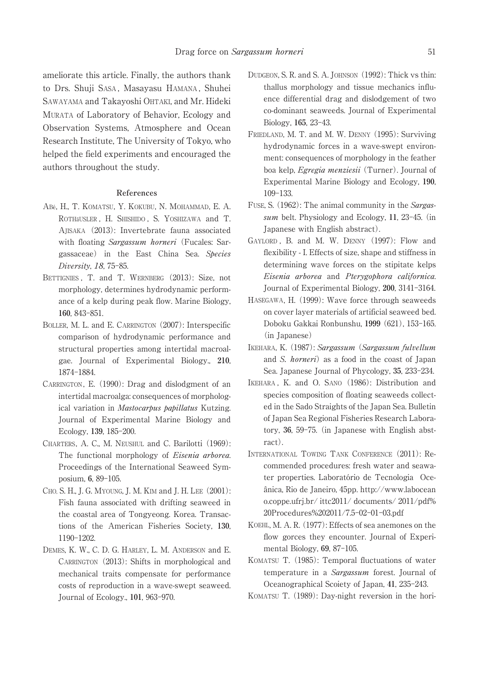ameliorate this article. Finally, the authors thank to Drs. Shuji SASA , Masayasu HAMANA , Shuhei SAWAYAMA and Takayoshi OHTAKI, and Mr. Hideki MURATA of Laboratory of Behavior, Ecology and Observation Systems, Atmosphere and Ocean Research Institute, The University of Tokyo, who helped the field experiments and encouraged the authors throughout the study.

#### **References**

- ABé, H., T. KOMATSU, Y. KOKUBU, N. MOHAMMAD, E. A. ROTHäUSLER , H. SHISHIDO , S. YOSHIZAWA and T. AJISAKA (2013): Invertebrate fauna associated with floating Sargassum horneri (Fucales: Sargassaceae) in the East China Sea. Species Diversity, 18, 75-85.
- BETTIGNIES , T. and T. WERNBERG (2013): Size, not morphology, determines hydrodynamic performance of a kelp during peak flow. Marine Biology, **160**, 843-851.
- BOLLER, M. L. and E. CARRINGTON (2007): Interspecific comparison of hydrodynamic performance and structural properties among intertidal macroalgae. Journal of Experimental Biology., **210**, 1874-1884.
- CARRINGTON, E. (1990): Drag and dislodgment of an intertidal macroalga: consequences of morphological variation in Mastocarpus papillatus Kutzing. Journal of Experimental Marine Biology and Ecology, **139**, 185-200.
- CHARTERS, A. C., M. NEUSHUL and C. Barilotti (1969): The functional morphology of *Eisenia arborea*. Proceedings of the International Seaweed Symposium, **6**, 89-105.
- CHO, S. H., J. G. MYOUNG, J. M. KIM and J. H. LEE (2001): Fish fauna associated with drifting seaweed in the coastal area of Tongyeong. Korea. Transactions of the American Fisheries Society, **130**, 1190-1202.
- DEMES, K. W., C. D. G. HARLEY, L. M. ANDERSON and E. CARRINGTON (2013): Shifts in morphological and mechanical traits compensate for performance costs of reproduction in a wave-swept seaweed. Journal of Ecology., **101**, 963-970.
- DUDGEON, S. R. and S. A. JOHNSON (1992): Thick vs thin: thallus morphology and tissue mechanics influence differential drag and dislodgement of two co-dominant seaweeds. Journal of Experimental Biology, **165**, 23-43.
- FRIEDLAND, M. T. and M. W. DENNY (1995): Surviving hydrodynamic forces in a wave-swept environment: consequences of morphology in the feather boa kelp, Egregia menziesii (Turner). Journal of Experimental Marine Biology and Ecology, **190**, 109-133.
- FUSE, S. (1962): The animal community in the Sargassum belt. Physiology and Ecology, **11**, 23-45. (in Japanese with English abstract).
- GAYLORD , B. and M. W. DENNY (1997): Flow and flexibility - I. Effects of size, shape and stiffness in determining wave forces on the stipitate kelps Eisenia arborea and Pterygophora californica. Journal of Experimental Biology, **200**, 3141-3164.
- HASEGAWA, H. (1999): Wave force through seaweeds on cover layer materials of artificial seaweed bed. Doboku Gakkai Ronbunshu, **1999** (621), 153-165. (in Japanese)
- IKEHARA, K. (1987): Sargassum (Sargassum fulvellum and S. horneri) as a food in the coast of Japan Sea. Japanese Journal of Phycology, **35**, 233-234.
- IKEHARA , K. and O. SANO (1986): Distribution and species composition of floating seaweeds collected in the Sado Straights of the Japan Sea. Bulletin of Japan Sea Regional Fisheries Research Laboratory, **36**, 59-75. (in Japanese with English abstract).
- INTERNATIONAL TOWING TANK CONFERENCE (2011): Recommended procedures: fresh water and seawater properties. Laboratório de Tecnologia Oceânica, Rio de Janeiro, 45pp. http://www.labocean o.coppe.ufrj.br/ ittc2011/ documents/ 2011/pdf% 20Procedures%202011/7.5-02-01-03.pdf
- KOEHL, M. A. R. (1977): Effects of sea anemones on the flow gorces they encounter. Journal of Experimental Biology, **69**, 87-105.
- KOMATSU T. (1985): Temporal fluctuations of water temperature in a Sargassum forest. Journal of Oceanographical Scoiety of Japan, **41**, 235-243.
- KOMATSU T. (1989): Day-night reversion in the hori-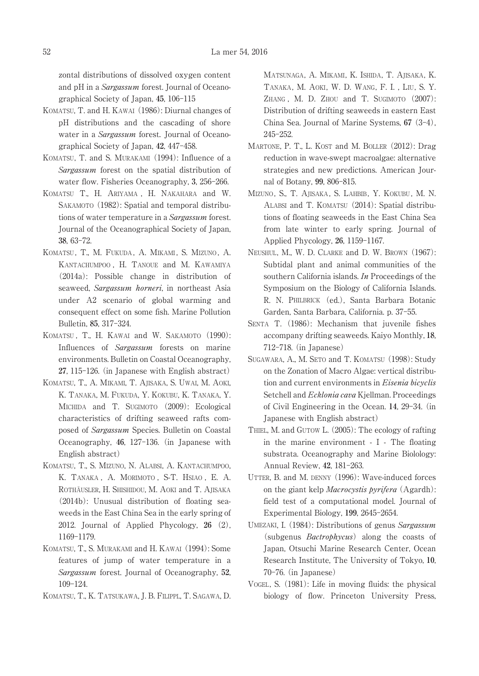zontal distributions of dissolved oxygen content and pH in a Sargassum forest. Journal of Oceanographical Society of Japan, **45**, 106-115

- KOMATSU, T. and H. KAWAI (1986): Diurnal changes of pH distributions and the cascading of shore water in a *Sargassum* forest. Journal of Oceanographical Society of Japan, **42**, 447-458.
- KOMATSU, T. and S. MURAKAMI (1994): Influence of a Sargassum forest on the spatial distribution of water flow. Fisheries Oceanography, **3**, 256-266.
- KOMATSU T., H. ARIYAMA , H. NAKAHARA and W. SAKAMOTO (1982): Spatial and temporal distributions of water temperature in a Sargassum forest. Journal of the Oceanographical Society of Japan, **38**, 63-72.
- KOMATSU, T., M. FUKUDA, A. MIKAMI, S. MIZUNO, A. KANTACHUMPOO , H. TANOUE and M. KAWAMIYA (2014a): Possible change in distribution of seaweed, Sargassum horneri, in northeast Asia under A2 scenario of global warming and consequent effect on some fish. Marine Pollution Bulletin, **85**, 317-324.
- KOMATSU, T., H. KAWAI and W. SAKAMOTO (1990): Influences of Sargassum forests on marine environments. Bulletin on Coastal Oceanography, **27**, 115-126. (in Japanese with English abstract)
- KOMATSU, T., A. MIKAMI, T. AJISAKA, S. UWAI, M. AOKI, K. TANAKA, M. FUKUDA, Y. KOKUBU, K. TANAKA, Y. MICHIDA and T. SUGIMOTO (2009): Ecological characteristics of drifting seaweed rafts composed of Sargassum Species. Bulletin on Coastal Oceanography, **46**, 127-136. (in Japanese with English abstract)
- KOMATSU, T., S. MIZUNO, N. ALABSI, A. KANTACHUMPOO, K. TANAKA , A. MORIMOTO , S-T. HSIAO , E. A. ROTHÄUSLER, H. SHISHIDOU, M. AOKI and T. AJISAKA (2014b): Unusual distribution of floating seaweeds in the East China Sea in the early spring of 2012. Journal of Applied Phycology, **26** (2), 1169-1179.
- KOMATSU, T., S. MURAKAMI and H. KAWAI (1994): Some features of jump of water temperature in a Sargassum forest. Journal of Oceanography, **52**, 109-124.
- KOMATSU, T., K. TATSUKAWA, J. B. FILIPPI., T. SAGAWA, D.

MATSUNAGA, A. MIKAMI, K. ISHIDA, T. AJISAKA, K. TANAKA, M. AOKI, W. D. WANG, F. I. , LIU, S. Y. ZHANG , M. D. ZHOU and T. SUGIMOTO (2007): Distribution of drifting seaweeds in eastern East China Sea. Journal of Marine Systems, **67** (3-4), 245-252.

- MARTONE, P. T., L. KOST and M. BOLLER (2012): Drag reduction in wave-swept macroalgae: alternative strategies and new predictions. American Journal of Botany, **99**, 806-815.
- MIZUNO, S., T. AJISAKA, S. LAHBIB, Y. KOKUBU, M. N. ALABSI and T. KOMATSU (2014): Spatial distributions of floating seaweeds in the East China Sea from late winter to early spring. Journal of Applied Phycology, **26**, 1159-1167.
- NEUSHUL, M., W. D. CLARKE and D. W. BROWN (1967): Subtidal plant and animal communities of the southern California islands. In Proceedings of the Symposium on the Biology of California Islands. R. N. PHILBRICK (ed.), Santa Barbara Botanic Garden, Santa Barbara, California. p. 37-55.
- SENTA T. (1986): Mechanism that juvenile fishes accompany drifting seaweeds. Kaiyo Monthly, **18**, 712-718. (in Japanese)
- SUGAWARA, A., M. SETO and T. KOMATSU (1998): Study on the Zonation of Macro Algae: vertical distribution and current environments in Eisenia bicyclis Setchell and Ecklonia cava Kjellman. Proceedings of Civil Engineering in the Ocean. **14**, 29-34. (in Japanese with English abstract)
- THIEL, M. and GUTOW L. (2005): The ecology of rafting in the marine environment - I - The floating substrata. Oceanography and Marine Biolology: Annual Review, **42**, 181-263.
- UTTER, B. and M. DENNY (1996): Wave-induced forces on the giant kelp Macrocystis pyrifera (Agardh): field test of a computational model. Journal of Experimental Biology, **199**, 2645-2654.
- UMEZAKI, I. (1984): Distributions of genus Sargassum (subgenus Bactrophycus) along the coasts of Japan, Otsuchi Marine Research Center, Ocean Research Institute, The University of Tokyo, **10**, 70-76. (in Japanese)
- VOGEL, S. (1981): Life in moving fluids: the physical biology of flow. Princeton University Press,